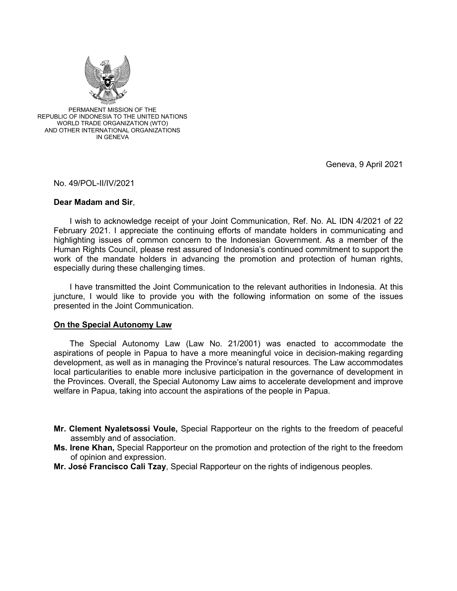

PERMANENT MISSION OF THE REPUBLIC OF INDONESIA TO THE UNITED NATIONS WORLD TRADE ORGANIZATION (WTO) AND OTHER INTERNATIONAL ORGANIZATIONS IN GENEVA

Geneva, 9 April 2021

No. 49/POL-II/IV/2021

## **Dear Madam and Sir**,

I wish to acknowledge receipt of your Joint Communication, Ref. No. AL IDN 4/2021 of 22 February 2021. I appreciate the continuing efforts of mandate holders in communicating and highlighting issues of common concern to the Indonesian Government. As a member of the Human Rights Council, please rest assured of Indonesia's continued commitment to support the work of the mandate holders in advancing the promotion and protection of human rights, especially during these challenging times.

I have transmitted the Joint Communication to the relevant authorities in Indonesia. At this juncture, I would like to provide you with the following information on some of the issues presented in the Joint Communication.

## **On the Special Autonomy Law**

 The Special Autonomy Law (Law No. 21/2001) was enacted to accommodate the aspirations of people in Papua to have a more meaningful voice in decision-making regarding development, as well as in managing the Province's natural resources. The Law accommodates local particularities to enable more inclusive participation in the governance of development in the Provinces. Overall, the Special Autonomy Law aims to accelerate development and improve welfare in Papua, taking into account the aspirations of the people in Papua.

- **Mr. Clement Nyaletsossi Voule,** Special Rapporteur on the rights to the freedom of peaceful assembly and of association.
- **Ms. Irene Khan,** Special Rapporteur on the promotion and protection of the right to the freedom of opinion and expression.
- **Mr. José Francisco Cali Tzay**, Special Rapporteur on the rights of indigenous peoples.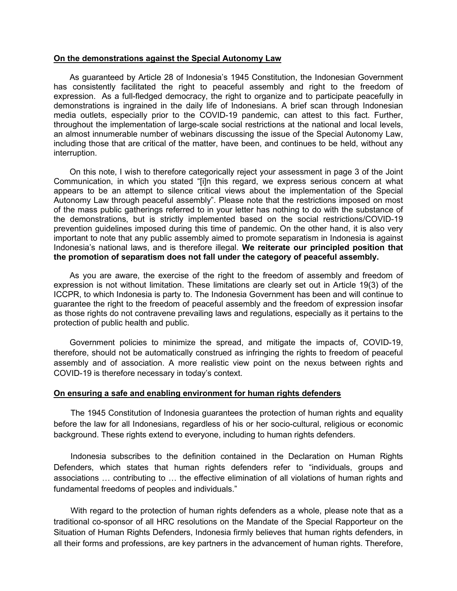## **On the demonstrations against the Special Autonomy Law**

 As guaranteed by Article 28 of Indonesia's 1945 Constitution, the Indonesian Government has consistently facilitated the right to peaceful assembly and right to the freedom of expression. As a full-fledged democracy, the right to organize and to participate peacefully in demonstrations is ingrained in the daily life of Indonesians. A brief scan through Indonesian media outlets, especially prior to the COVID-19 pandemic, can attest to this fact. Further, throughout the implementation of large-scale social restrictions at the national and local levels, an almost innumerable number of webinars discussing the issue of the Special Autonomy Law, including those that are critical of the matter, have been, and continues to be held, without any interruption.

 On this note, I wish to therefore categorically reject your assessment in page 3 of the Joint Communication, in which you stated "[i]n this regard, we express serious concern at what appears to be an attempt to silence critical views about the implementation of the Special Autonomy Law through peaceful assembly". Please note that the restrictions imposed on most of the mass public gatherings referred to in your letter has nothing to do with the substance of the demonstrations, but is strictly implemented based on the social restrictions/COVID-19 prevention guidelines imposed during this time of pandemic. On the other hand, it is also very important to note that any public assembly aimed to promote separatism in Indonesia is against Indonesia's national laws, and is therefore illegal. **We reiterate our principled position that the promotion of separatism does not fall under the category of peaceful assembly.** 

 As you are aware, the exercise of the right to the freedom of assembly and freedom of expression is not without limitation. These limitations are clearly set out in Article 19(3) of the ICCPR, to which Indonesia is party to. The Indonesia Government has been and will continue to guarantee the right to the freedom of peaceful assembly and the freedom of expression insofar as those rights do not contravene prevailing laws and regulations, especially as it pertains to the protection of public health and public.

 Government policies to minimize the spread, and mitigate the impacts of, COVID-19, therefore, should not be automatically construed as infringing the rights to freedom of peaceful assembly and of association. A more realistic view point on the nexus between rights and COVID-19 is therefore necessary in today's context.

## **On ensuring a safe and enabling environment for human rights defenders**

The 1945 Constitution of Indonesia guarantees the protection of human rights and equality before the law for all Indonesians, regardless of his or her socio-cultural, religious or economic background. These rights extend to everyone, including to human rights defenders.

Indonesia subscribes to the definition contained in the Declaration on Human Rights Defenders, which states that human rights defenders refer to "individuals, groups and associations … contributing to … the effective elimination of all violations of human rights and fundamental freedoms of peoples and individuals."

With regard to the protection of human rights defenders as a whole, please note that as a traditional co-sponsor of all HRC resolutions on the Mandate of the Special Rapporteur on the Situation of Human Rights Defenders, Indonesia firmly believes that human rights defenders, in all their forms and professions, are key partners in the advancement of human rights. Therefore,